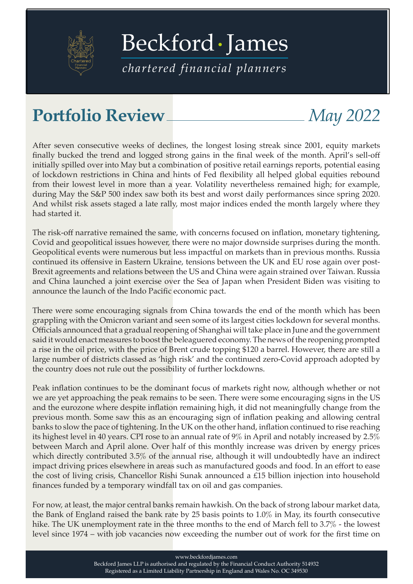

[Beckford James](https://beckfordjames.com/client-information/portfolio-reviews/)

*chartered financial planners*

## Portfolio Review <u>*May 2022*</u>

After seven consecutive weeks of declines, the longest losing streak since 2001, equity markets finally bucked the trend and logged strong gains in the final week of the month. April's sell-off initially spilled over into May but a combination of positive retail earnings reports, potential easing of lockdown restrictions in China and hints of Fed flexibility all helped global equities rebound from their lowest level in more than a year. Volatility nevertheless remained high; for example, during May the S&P 500 index saw both its best and worst daily performances since spring 2020. And whilst risk assets staged a late rally, most major indices ended the month largely where they had started it.

The risk-off narrative remained the same, with concerns focused on inflation, monetary tightening, Covid and geopolitical issues however, there were no major downside surprises during the month. Geopolitical events were numerous but less impactful on markets than in previous months. Russia continued its offensive in Eastern Ukraine, tensions between the UK and EU rose again over post-Brexit agreements and relations between the US and China were again strained over Taiwan. Russia and China launched a joint exercise over the Sea of Japan when President Biden was visiting to announce the launch of the Indo Pacific economic pact.

There were some encouraging signals from China towards the end of the month which has been grappling with the Omicron variant and seen some of its largest cities lockdown for several months. Officials announced that a gradual reopening of Shanghai will take place in June and the government said it would enact measures to boost the beleaguered economy. The news of the reopening prompted a rise in the oil price, with the price of Brent crude topping \$120 a barrel. However, there are still a large number of districts classed as 'high risk' and the continued zero-Covid approach adopted by the country does not rule out the possibility of further lockdowns.

Peak inflation continues to be the dominant focus of markets right now, although whether or not we are yet approaching the peak remains to be seen. There were some encouraging signs in the US and the eurozone where despite inflation remaining high, it did not meaningfully change from the previous month. Some saw this as an encouraging sign of inflation peaking and allowing central banks to slow the pace of tightening. In the UK on the other hand, inflation continued to rise reaching its highest level in 40 years. CPI rose to an annual rate of 9% in April and notably increased by 2.5% between March and April alone. Over half of this monthly increase was driven by energy prices which directly contributed 3.5% of the annual rise, although it will undoubtedly have an indirect impact driving prices elsewhere in areas such as manufactured goods and food. In an effort to ease the cost of living crisis, Chancellor Rishi Sunak announced a £15 billion injection into household finances funded by a temporary windfall tax on oil and gas companies.

For now, at least, the major central banks remain hawkish. On the back of strong labour market data, the Bank of England raised the bank rate by 25 basis points to 1.0% in May, its fourth consecutive hike. The UK unemployment rate in the three months to the end of March fell to 3.7% - the lowest level since 1974 – with job vacancies now exceeding the number out of work for the first time on

www.beckfordjames.com

Beckford James LLP is authorised and regulated by the Financial Conduct Authority 514932 Registered as a Limited Liability Partnership in England and Wales No. OC 349530